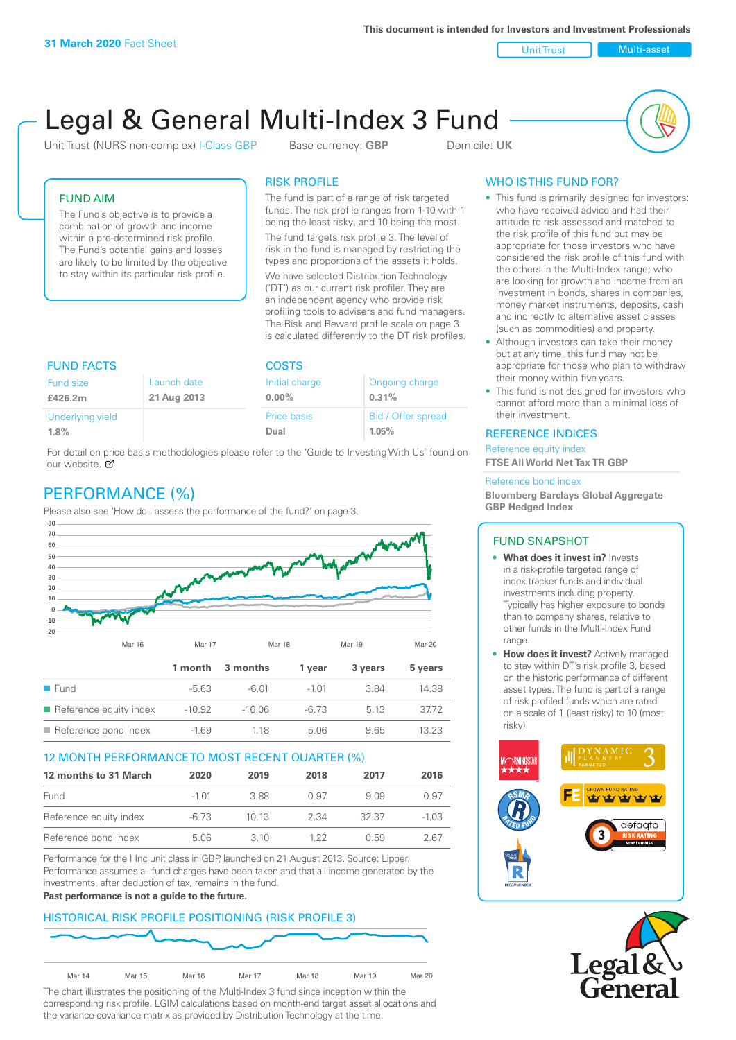**This document is intended for Investors and Investment Professionals**

Unit Trust Nulti-asset

# Legal & General Multi-Index 3 Fund

Unit Trust (NURS non-complex) I-Class GBP Base currency: **GBP** Domicile: UK



# FUND AIM

The Fund's objective is to provide a combination of growth and income within a pre-determined risk profile. The Fund's potential gains and losses are likely to be limited by the objective to stay within its particular risk profile.

# RISK PROFILE

The fund is part of a range of risk targeted funds. The risk profile ranges from 1-10 with 1 being the least risky, and 10 being the most.

The fund targets risk profile 3. The level of risk in the fund is managed by restricting the types and proportions of the assets it holds. We have selected Distribution Technology ('DT') as our current risk profiler. They are an independent agency who provide risk profiling tools to advisers and fund managers. The Risk and Reward profile scale on page 3 is calculated differently to the DT risk profiles.

| <b>FUND FACTS</b> |             | <b>COSTS</b>       |                    |  |
|-------------------|-------------|--------------------|--------------------|--|
| Fund size         | Launch date | Initial charge     | Ongoing charge     |  |
| £426.2m           | 21 Aug 2013 | $0.00\%$           | 0.31%              |  |
| Underlying yield  |             | <b>Price basis</b> | Bid / Offer spread |  |
| 1.8%              |             | Dual               | 1.05%              |  |

For detail on price basis methodologies please refer to the 'Guide to Investing With Us' found on our website. Ø

# PERFORMANCE (%)

Please also see 'How do I assess the performance of the fund?' on page 3.



## 12 MONTH PERFORMANCE TO MOST RECENT QUARTER (%)

| 12 months to 31 March  | 2020  | 2019  | 2018 | 2017  | 2016    |
|------------------------|-------|-------|------|-------|---------|
| Fund                   | -1.01 | 388   | O 97 | 909   | 0.97    |
| Reference equity index | -6.73 | 1013  | 2.34 | 32.37 | $-1.03$ |
| Reference bond index   | 5.06  | 3. IO | 1 22 | ()59  | 2 67    |

Performance for the I Inc unit class in GBP, launched on 21 August 2013. Source: Lipper. Performance assumes all fund charges have been taken and that all income generated by the investments, after deduction of tax, remains in the fund.

#### **Past performance is not a guide to the future.**

# HISTORICAL RISK PROFILE POSITIONING (RISK PROFILE 3)



The chart illustrates the positioning of the Multi-Index 3 fund since inception within the corresponding risk profile. LGIM calculations based on month-end target asset allocations and the variance-covariance matrix as provided by Distribution Technology at the time.

# WHO IS THIS FUND FOR?

- This fund is primarily designed for investors: who have received advice and had their attitude to risk assessed and matched to the risk profile of this fund but may be appropriate for those investors who have considered the risk profile of this fund with the others in the Multi-Index range; who are looking for growth and income from an investment in bonds, shares in companies, money market instruments, deposits, cash and indirectly to alternative asset classes (such as commodities) and property.
- Although investors can take their money out at any time, this fund may not be appropriate for those who plan to withdraw their money within five years.
- This fund is not designed for investors who cannot afford more than a minimal loss of their investment.

# REFERENCE INDICES

Reference equity index **FTSE All World Net Tax TR GBP**

#### Reference bond index

**Bloomberg Barclays Global Aggregate GBP Hedged Index**

## FUND SNAPSHOT

- **• What does it invest in?** Invests in a risk-profile targeted range of index tracker funds and individual investments including property. Typically has higher exposure to bonds than to company shares, relative to other funds in the Multi-Index Fund range.
- **• How does it invest?** Actively managed to stay within DT's risk profile 3, based on the historic performance of different asset types. The fund is part of a range of risk profiled funds which are rated on a scale of 1 (least risky) to 10 (most risky).



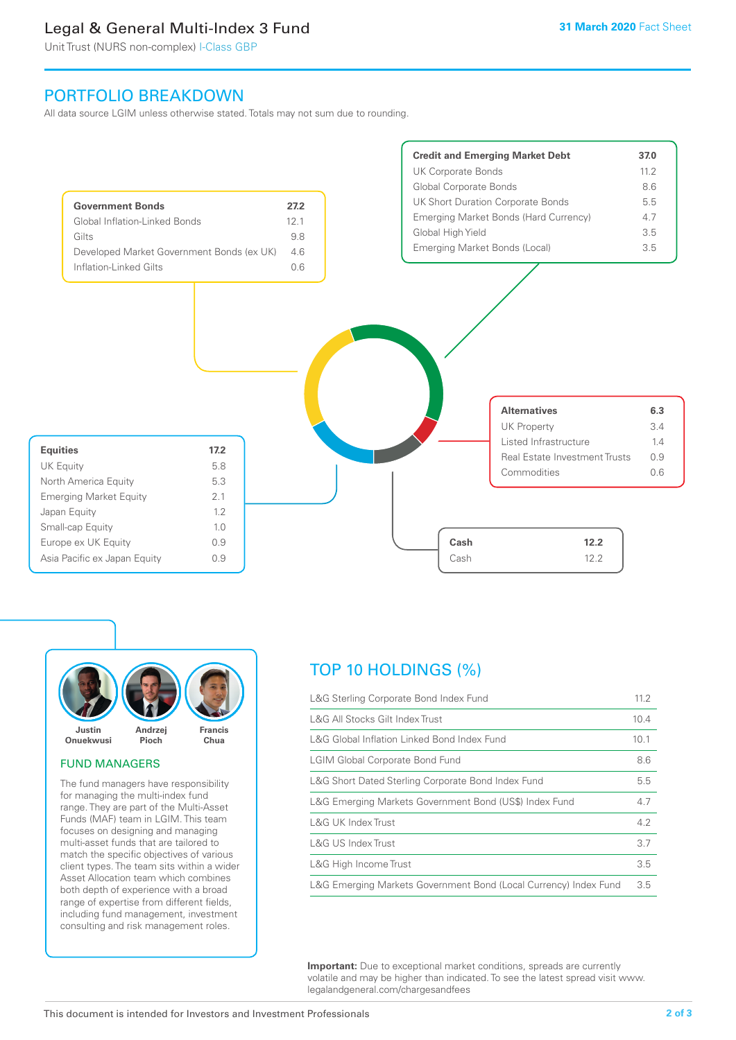# Legal & General Multi-Index 3 Fund

Unit Trust (NURS non-complex) I-Class GBP

# PORTFOLIO BREAKDOWN

All data source LGIM unless otherwise stated. Totals may not sum due to rounding.





#### FUND MANAGERS

The fund managers have responsibility for managing the multi-index fund range. They are part of the Multi-Asset Funds (MAF) team in LGIM. This team focuses on designing and managing multi-asset funds that are tailored to match the specific objectives of various client types. The team sits within a wider Asset Allocation team which combines both depth of experience with a broad range of expertise from different fields, including fund management, investment consulting and risk management roles.

# TOP 10 HOLDINGS (%)

| L&G Sterling Corporate Bond Index Fund                           | 11.2 |
|------------------------------------------------------------------|------|
| L&G All Stocks Gilt Index Trust                                  | 10.4 |
| L&G Global Inflation Linked Bond Index Fund                      | 10.1 |
| <b>LGIM Global Corporate Bond Fund</b>                           | 8.6  |
| L&G Short Dated Sterling Corporate Bond Index Fund               | 5.5  |
| L&G Emerging Markets Government Bond (US\$) Index Fund           | 4.7  |
| <b>L&amp;G UK Index Trust</b>                                    | 4.2  |
| L&G US Index Trust                                               | 3.7  |
| L&G High Income Trust                                            | 3.5  |
| L&G Emerging Markets Government Bond (Local Currency) Index Fund | 3.5  |

**Important:** Due to exceptional market conditions, spreads are currently volatile and may be higher than indicated. To see the latest spread visit www. legalandgeneral.com/chargesandfees